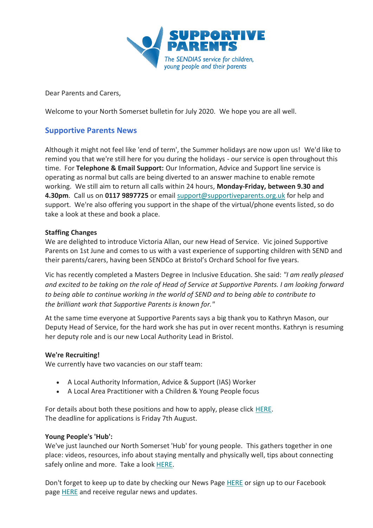

Dear Parents and Carers,

Welcome to your North Somerset bulletin for July 2020. We hope you are all well.

## **Supportive Parents News**

Although it might not feel like 'end of term', the Summer holidays are now upon us! We'd like to remind you that we're still here for you during the holidays - our service is open throughout this time. For **Telephone & Email Support:** Our Information, Advice and Support line service is operating as normal but calls are being diverted to an answer machine to enable remote working. We still aim to return all calls within 24 hours, **Monday-Friday, between 9.30 and 4.30pm**. Call us on **0117 9897725** or email [support@supportiveparents.org.uk](mailto:support@supportiveparents.org.uk) for help and support. We're also offering you support in the shape of the virtual/phone events listed, so do take a look at these and book a place.

#### **Staffing Changes**

We are delighted to introduce Victoria Allan, our new Head of Service. Vic joined Supportive Parents on 1st June and comes to us with a vast experience of supporting children with SEND and their parents/carers, having been SENDCo at Bristol's Orchard School for five years.

Vic has recently completed a Masters Degree in Inclusive Education. She said: *"I am really pleased and excited to be taking on the role of Head of Service at Supportive Parents. I am looking forward to being able to continue working in the world of SEND and to being able to contribute to the brilliant work that Supportive Parents is known for."* 

At the same time everyone at Supportive Parents says a big thank you to Kathryn Mason, our Deputy Head of Service, for the hard work she has put in over recent months. Kathryn is resuming her deputy role and is our new Local Authority Lead in Bristol.

#### **We're Recruiting!**

We currently have two vacancies on our staff team:

- A Local Authority Information, Advice & Support (IAS) Worker
- A Local Area Practitioner with a Children & Young People focus

For details about both these positions and how to apply, please click [HERE.](https://www.supportiveparents.org.uk/were-recruiting/) The deadline for applications is Friday 7th August.

#### **Young People's 'Hub':**

We've just launched our North Somerset 'Hub' for young people. This gathers together in one place: videos, resources, info about staying mentally and physically well, tips about connecting safely online and more. Take a look [HERE.](https://www.supportiveparents.org.uk/young-people-16-25/virtual-hub-2/)

Don't forget to keep up to date by checking our News Page [HERE](https://www.supportiveparents.org.uk/latest-news/) or sign up to our Facebook page [HERE](https://www.facebook.com/SupportiveparentsPPS) and receive regular news and updates.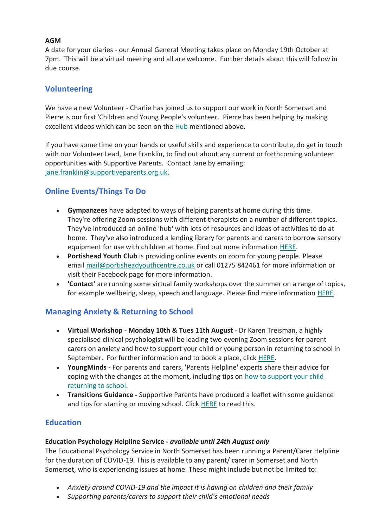### **AGM**

A date for your diaries - our Annual General Meeting takes place on Monday 19th October at 7pm. This will be a virtual meeting and all are welcome. Further details about this will follow in due course.

## **Volunteering**

We have a new Volunteer - Charlie has joined us to support our work in North Somerset and Pierre is our first 'Children and Young People's volunteer. Pierre has been helping by making excellent videos which can be seen on the [Hub](https://www.supportiveparents.org.uk/young-people-16-25/virtual-hub-2/) mentioned above.

If you have some time on your hands or useful skills and experience to contribute, do get in touch with our Volunteer Lead, Jane Franklin, to find out about any current or forthcoming volunteer opportunities with Supportive Parents. Contact Jane by emailing: [jane.franklin@supportiveparents.org.uk](mailto:jane.franklin@supportiveparents.org.uk)[.](mailto:jane.franklin@supportiveparents.org.uk.)

# **Online Events/Things To Do**

- **Gympanzees** have adapted to ways of helping parents at home during this time. They're offering Zoom sessions with different therapists on a number of different topics. They've introduced an online 'hub' with lots of resources and ideas of activities to do at home. They've also introduced a lending library for parents and carers to borrow sensory equipment for use with children at home. Find out more information [HERE.](https://www.gympanzees.org/our-home)
- **Portishead Youth Club** is providing online events on zoom for young people. Please email [mail@portisheadyouthcentre.co.uk](mailto:mail@portisheadyouthcentre.co.uk) or call 01275 842461 for more information or visit their Facebook page for more information.
- **'Contact'** are running some virtual family workshops over the summer on a range of topics, for example wellbeing, sleep, speech and language. Please find more information [HERE.](https://contact.org.uk/about-us/family-workshops/)

# **Managing Anxiety & Returning to School**

- **Virtual Workshop - Monday 10th & Tues 11th August** Dr Karen Treisman, a highly specialised clinical psychologist will be leading two evening Zoom sessions for parent carers on anxiety and how to support your child or young person in returning to school in September. For further information and to book a place, click [HERE.](https://www.eventbrite.co.uk/e/dr-karen-treisman-anxiety-sessions-for-parents-carers-tickets-113605820066)
- **YoungMinds -** For parents and carers, 'Parents Helpline' experts share their advice for coping with the changes at the moment, including tips on [how to support your child](https://youngminds.us7.list-manage.com/track/click?u=5c889624b166d3d24a24424d4&id=a6192329c6&e=7d57cee88d)  [returning to school.](https://youngminds.us7.list-manage.com/track/click?u=5c889624b166d3d24a24424d4&id=a6192329c6&e=7d57cee88d)
- **Transitions Guidance -** Supportive Parents have produced a leaflet with some guidance and tips for starting or moving school. Click [HERE](https://www.supportiveparents.org.uk/wp-content/uploads/2020/07/Transitions-Preparing-for-starting-or-moving-school.pdf) to read this.

# **Education**

### **Education Psychology Helpline Service -** *available until 24th August only*

The Educational Psychology Service in North Somerset has been running a Parent/Carer Helpline for the duration of COVID-19. This is available to any parent/ carer in Somerset and North Somerset, who is experiencing issues at home. These might include but not be limited to:

- *Anxiety around COVID-19 and the impact it is having on children and their family*
- *Supporting parents/carers to support their child's emotional needs*